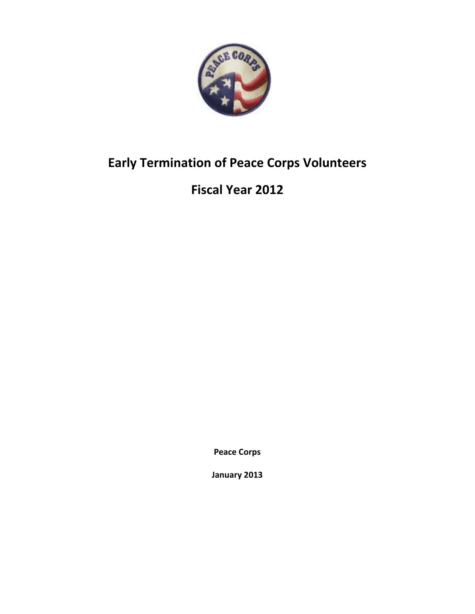

## **Early Termination of Peace Corps Volunteers**

## **Fiscal Year 2012**

**Peace Corps**

**January 2013**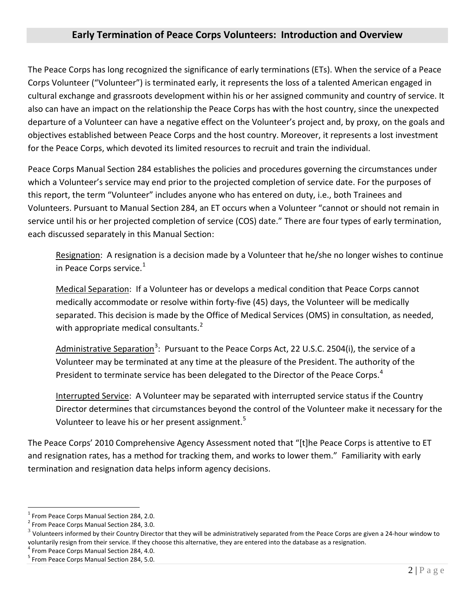## **Early Termination of Peace Corps Volunteers: Introduction and Overview**

The Peace Corps has long recognized the significance of early terminations (ETs). When the service of a Peace Corps Volunteer ("Volunteer") is terminated early, it represents the loss of a talented American engaged in cultural exchange and grassroots development within his or her assigned community and country of service. It also can have an impact on the relationship the Peace Corps has with the host country, since the unexpected departure of a Volunteer can have a negative effect on the Volunteer's project and, by proxy, on the goals and objectives established between Peace Corps and the host country. Moreover, it represents a lost investment for the Peace Corps, which devoted its limited resources to recruit and train the individual.

Peace Corps Manual Section 284 establishes the policies and procedures governing the circumstances under which a Volunteer's service may end prior to the projected completion of service date. For the purposes of this report, the term "Volunteer" includes anyone who has entered on duty, i.e., both Trainees and Volunteers. Pursuant to Manual Section 284, an ET occurs when a Volunteer "cannot or should not remain in service until his or her projected completion of service (COS) date." There are four types of early termination, each discussed separately in this Manual Section:

Resignation: A resignation is a decision made by a Volunteer that he/she no longer wishes to continue in Peace Corps service. $<sup>1</sup>$  $<sup>1</sup>$  $<sup>1</sup>$ </sup>

Medical Separation: If a Volunteer has or develops a medical condition that Peace Corps cannot medically accommodate or resolve within forty-five (45) days, the Volunteer will be medically separated. This decision is made by the Office of Medical Services (OMS) in consultation, as needed, with appropriate medical consultants. $<sup>2</sup>$  $<sup>2</sup>$  $<sup>2</sup>$ </sup>

Administrative Separation<sup>[3](#page-1-2)</sup>: Pursuant to the Peace Corps Act, 22 U.S.C. 2504(i), the service of a Volunteer may be terminated at any time at the pleasure of the President. The authority of the President to terminate service has been delegated to the Director of the Peace Corps.<sup>[4](#page-1-3)</sup>

Interrupted Service: A Volunteer may be separated with interrupted service status if the Country Director determines that circumstances beyond the control of the Volunteer make it necessary for the Volunteer to leave his or her present assignment.<sup>[5](#page-1-4)</sup>

The Peace Corps' 2010 Comprehensive Agency Assessment noted that "[t]he Peace Corps is attentive to ET and resignation rates, has a method for tracking them, and works to lower them." Familiarity with early termination and resignation data helps inform agency decisions.

<span id="page-1-0"></span> $1$  From Peace Corps Manual Section 284, 2.0.

<span id="page-1-1"></span><sup>2</sup> From Peace Corps Manual Section 284, 3.0.

<span id="page-1-2"></span> $3$  Volunteers informed by their Country Director that they will be administratively separated from the Peace Corps are given a 24-hour window to voluntarily resign from their service. If they choose this alternative, they are entered into the database as a resignation.<br><sup>4</sup> From Peace Corps Manual Section 284, 4.0.

<span id="page-1-3"></span>

<span id="page-1-4"></span><sup>&</sup>lt;sup>5</sup> From Peace Corps Manual Section 284, 5.0.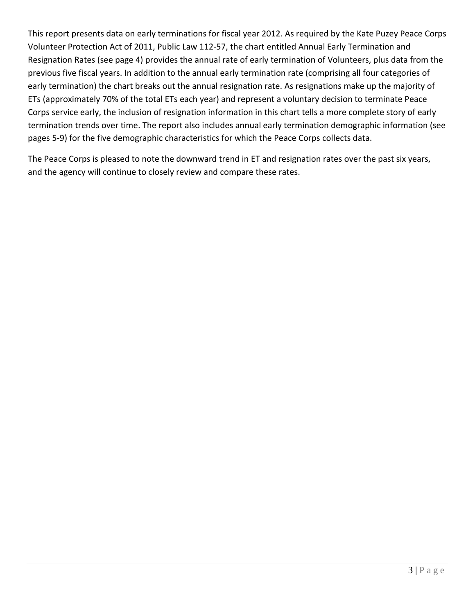This report presents data on early terminations for fiscal year 2012. As required by the Kate Puzey Peace Corps Volunteer Protection Act of 2011, Public Law 112-57, the chart entitled Annual Early Termination and Resignation Rates (see page 4) provides the annual rate of early termination of Volunteers, plus data from the previous five fiscal years. In addition to the annual early termination rate (comprising all four categories of early termination) the chart breaks out the annual resignation rate. As resignations make up the majority of ETs (approximately 70% of the total ETs each year) and represent a voluntary decision to terminate Peace Corps service early, the inclusion of resignation information in this chart tells a more complete story of early termination trends over time. The report also includes annual early termination demographic information (see pages 5-9) for the five demographic characteristics for which the Peace Corps collects data.

The Peace Corps is pleased to note the downward trend in ET and resignation rates over the past six years, and the agency will continue to closely review and compare these rates.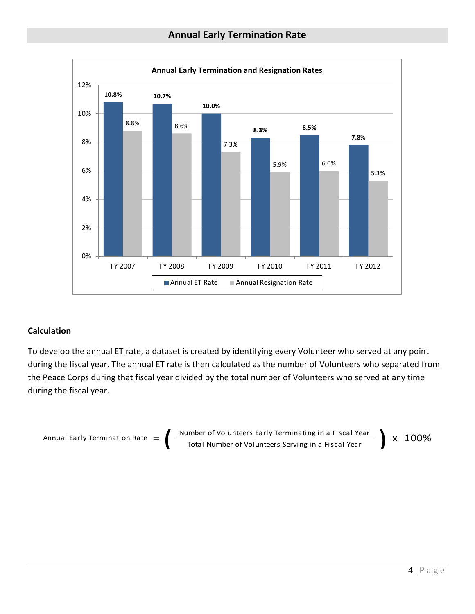

## **Calculation**

To develop the annual ET rate, a dataset is created by identifying every Volunteer who served at any point during the fiscal year. The annual ET rate is then calculated as the number of Volunteers who separated from the Peace Corps during that fiscal year divided by the total number of Volunteers who served at any time during the fiscal year.

$$
\text{Annual Early Termination Rate} = \left( \frac{\text{Number of Volumbers Early Terminating in a Fiscal Year}}{\text{Total Number of Volumbers Serving in a Fiscal Year}} \right) \times 100\%
$$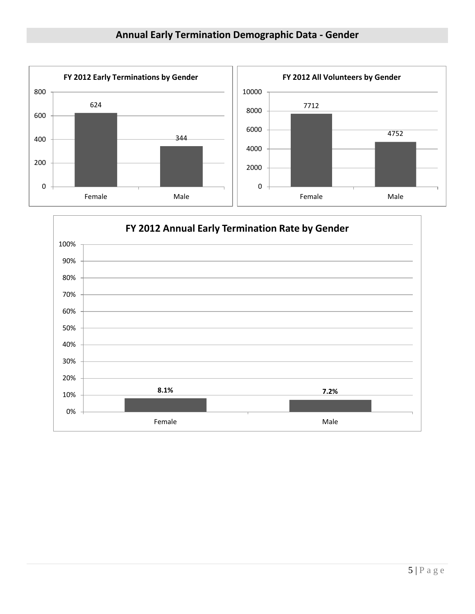

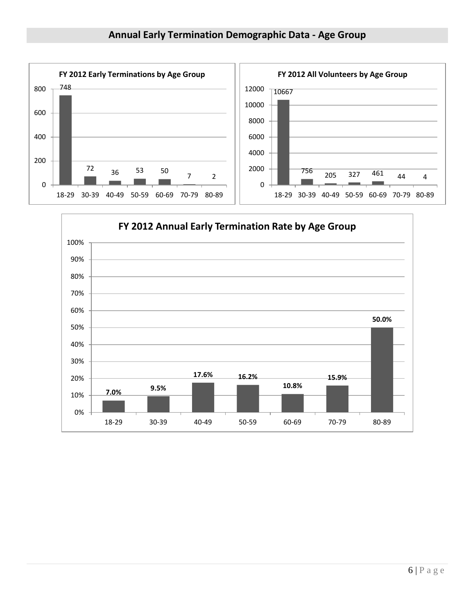

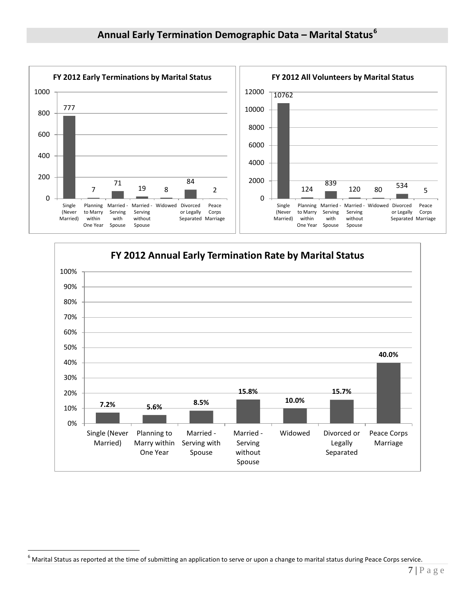



<span id="page-6-0"></span> $6$  Marital Status as reported at the time of submitting an application to serve or upon a change to marital status during Peace Corps service.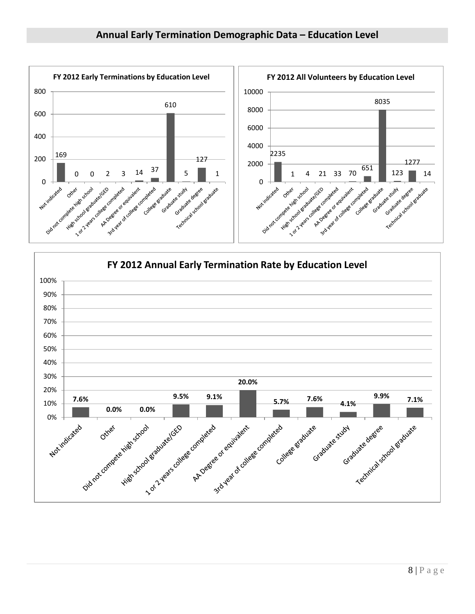